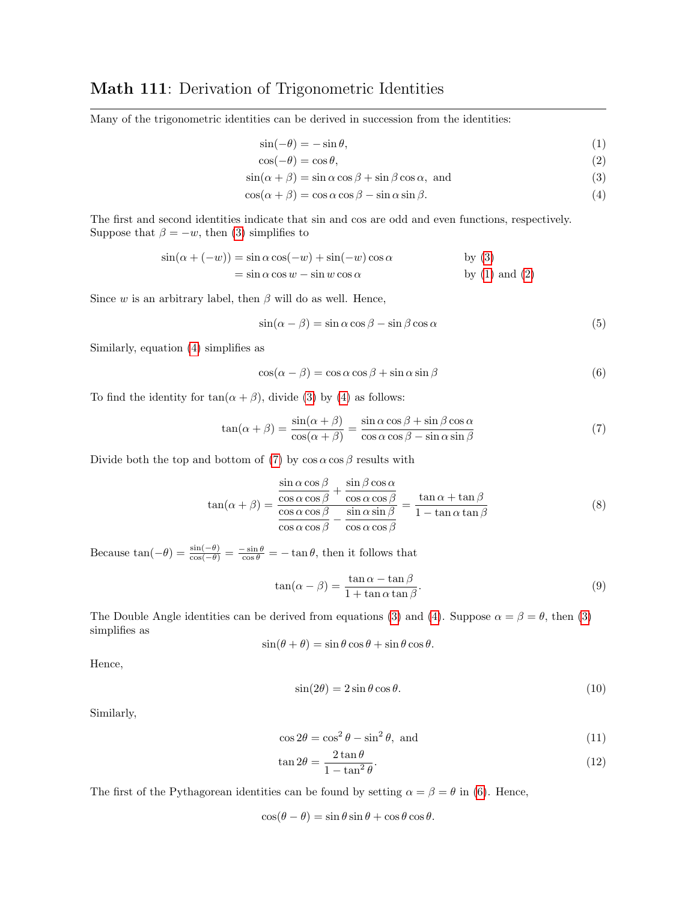## Math 111: Derivation of Trigonometric Identities

Many of the trigonometric identities can be derived in succession from the identities:

<span id="page-0-3"></span><span id="page-0-2"></span><span id="page-0-1"></span><span id="page-0-0"></span>
$$
\sin(-\theta) = -\sin\theta,\tag{1}
$$

$$
\cos(-\theta) = \cos\theta,\tag{2}
$$

$$
\sin(\alpha + \beta) = \sin \alpha \cos \beta + \sin \beta \cos \alpha, \text{ and}
$$
\n(3)

$$
\cos(\alpha + \beta) = \cos \alpha \cos \beta - \sin \alpha \sin \beta. \tag{4}
$$

The first and second identities indicate that sin and cos are odd and even functions, respectively. Suppose that  $\beta = -w$ , then [\(3\)](#page-0-0) simplifies to

$$
\sin(\alpha + (-w)) = \sin \alpha \cos(-w) + \sin(-w) \cos \alpha
$$
 by (3)  
=  $\sin \alpha \cos w - \sin w \cos \alpha$  by (1) and (2)

Since w is an arbitrary label, then  $\beta$  will do as well. Hence,

<span id="page-0-7"></span>
$$
\sin(\alpha - \beta) = \sin \alpha \cos \beta - \sin \beta \cos \alpha \tag{5}
$$

Similarly, equation [\(4\)](#page-0-3) simplifies as

<span id="page-0-5"></span><span id="page-0-4"></span>
$$
\cos(\alpha - \beta) = \cos \alpha \cos \beta + \sin \alpha \sin \beta \tag{6}
$$

To find the identity for  $tan(\alpha + \beta)$ , divide [\(3\)](#page-0-0) by [\(4\)](#page-0-3) as follows:

$$
\tan(\alpha + \beta) = \frac{\sin(\alpha + \beta)}{\cos(\alpha + \beta)} = \frac{\sin \alpha \cos \beta + \sin \beta \cos \alpha}{\cos \alpha \cos \beta - \sin \alpha \sin \beta}
$$
(7)

Divide both the top and bottom of [\(7\)](#page-0-4) by  $\cos \alpha \cos \beta$  results with

$$
\tan(\alpha + \beta) = \frac{\frac{\sin \alpha \cos \beta}{\cos \alpha \cos \beta} + \frac{\sin \beta \cos \alpha}{\cos \alpha \cos \beta}}{\frac{\cos \alpha \cos \beta}{\cos \alpha \cos \beta} - \frac{\sin \alpha \sin \beta}{\cos \alpha \cos \beta}} = \frac{\tan \alpha + \tan \beta}{1 - \tan \alpha \tan \beta}
$$
(8)

Because  $\tan(-\theta) = \frac{\sin(-\theta)}{\cos(-\theta)} = \frac{-\sin \theta}{\cos \theta} = -\tan \theta$ , then it follows that

$$
\tan(\alpha - \beta) = \frac{\tan \alpha - \tan \beta}{1 + \tan \alpha \tan \beta}.
$$
\n(9)

The Double Angle identities can be derived from equations [\(3\)](#page-0-0) and [\(4\)](#page-0-3). Suppose  $\alpha = \beta = \theta$ , then (3) simplifies as

$$
\sin(\theta + \theta) = \sin \theta \cos \theta + \sin \theta \cos \theta.
$$

Hence,

<span id="page-0-6"></span>
$$
\sin(2\theta) = 2\sin\theta\cos\theta. \tag{10}
$$

Similarly,

$$
\cos 2\theta = \cos^2 \theta - \sin^2 \theta, \text{ and} \tag{11}
$$

$$
\tan 2\theta = \frac{2\tan\theta}{1-\tan^2\theta}.\tag{12}
$$

The first of the Pythagorean identities can be found by setting  $\alpha = \beta = \theta$  in [\(6\)](#page-0-5). Hence,

$$
\cos(\theta - \theta) = \sin \theta \sin \theta + \cos \theta \cos \theta.
$$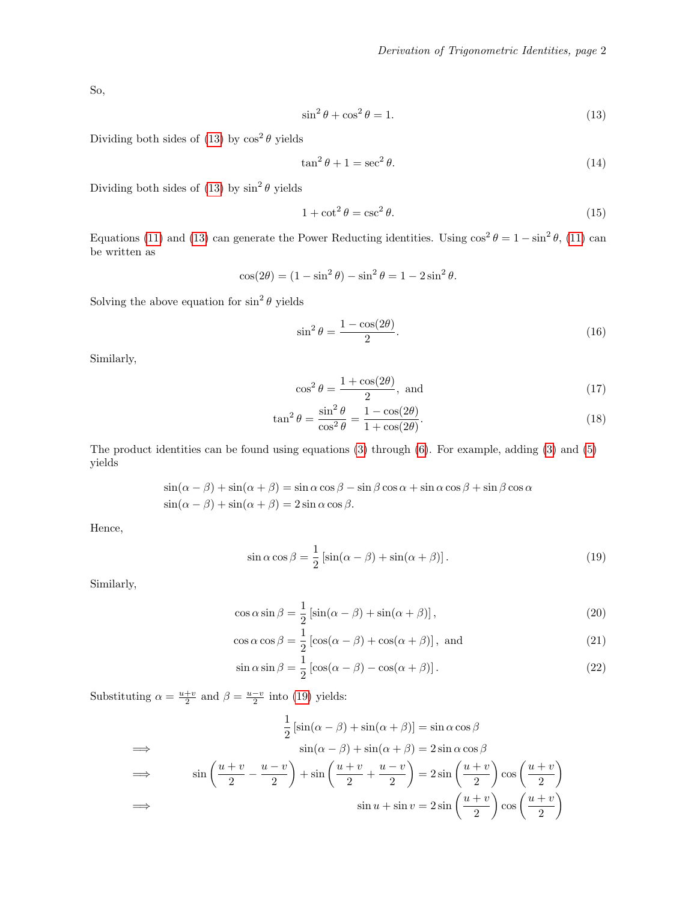So,

<span id="page-1-0"></span>
$$
\sin^2 \theta + \cos^2 \theta = 1. \tag{13}
$$

Dividing both sides of [\(13\)](#page-1-0) by  $\cos^2 \theta$  yields

$$
\tan^2 \theta + 1 = \sec^2 \theta. \tag{14}
$$

Dividing both sides of  $(13)$  by  $\sin^2 \theta$  yields

$$
1 + \cot^2 \theta = \csc^2 \theta. \tag{15}
$$

Equations [\(11\)](#page-0-6) and [\(13\)](#page-1-0) can generate the Power Reducting identities. Using  $\cos^2 \theta = 1 - \sin^2 \theta$ , (11) can be written as

$$
\cos(2\theta) = (1 - \sin^2 \theta) - \sin^2 \theta = 1 - 2\sin^2 \theta.
$$

Solving the above equation for  $\sin^2 \theta$  yields

$$
\sin^2 \theta = \frac{1 - \cos(2\theta)}{2}.
$$
\n(16)

Similarly,

<span id="page-1-1"></span>
$$
\cos^2 \theta = \frac{1 + \cos(2\theta)}{2}, \text{ and}
$$
 (17)

$$
\tan^2 \theta = \frac{\sin^2 \theta}{\cos^2 \theta} = \frac{1 - \cos(2\theta)}{1 + \cos(2\theta)}.
$$
\n(18)

The product identities can be found using equations [\(3\)](#page-0-0) through [\(6\)](#page-0-5). For example, adding [\(3\)](#page-0-0) and [\(5\)](#page-0-7) yields

$$
\sin(\alpha - \beta) + \sin(\alpha + \beta) = \sin \alpha \cos \beta - \sin \beta \cos \alpha + \sin \alpha \cos \beta + \sin \beta \cos \alpha
$$
  

$$
\sin(\alpha - \beta) + \sin(\alpha + \beta) = 2 \sin \alpha \cos \beta.
$$

Hence,

<span id="page-1-3"></span><span id="page-1-2"></span>
$$
\sin \alpha \cos \beta = \frac{1}{2} \left[ \sin(\alpha - \beta) + \sin(\alpha + \beta) \right].
$$
\n(19)

Similarly,

$$
\cos \alpha \sin \beta = \frac{1}{2} \left[ \sin(\alpha - \beta) + \sin(\alpha + \beta) \right],\tag{20}
$$

$$
\cos \alpha \cos \beta = \frac{1}{2} \left[ \cos(\alpha - \beta) + \cos(\alpha + \beta) \right], \text{ and}
$$
 (21)

<span id="page-1-4"></span>
$$
\sin \alpha \sin \beta = \frac{1}{2} \left[ \cos(\alpha - \beta) - \cos(\alpha + \beta) \right].
$$
 (22)

Substituting  $\alpha = \frac{u+v}{2}$  and  $\beta = \frac{u-v}{2}$  into [\(19\)](#page-1-1) yields:

$$
\frac{1}{2} \left[ \sin(\alpha - \beta) + \sin(\alpha + \beta) \right] = \sin \alpha \cos \beta
$$
  
\n
$$
\implies \qquad \sin(\alpha - \beta) + \sin(\alpha + \beta) = 2 \sin \alpha \cos \beta
$$
  
\n
$$
\implies \qquad \sin\left(\frac{u+v}{2} - \frac{u-v}{2}\right) + \sin\left(\frac{u+v}{2} + \frac{u-v}{2}\right) = 2 \sin\left(\frac{u+v}{2}\right) \cos\left(\frac{u+v}{2}\right)
$$
  
\n
$$
\implies \qquad \sin u + \sin v = 2 \sin\left(\frac{u+v}{2}\right) \cos\left(\frac{u+v}{2}\right)
$$